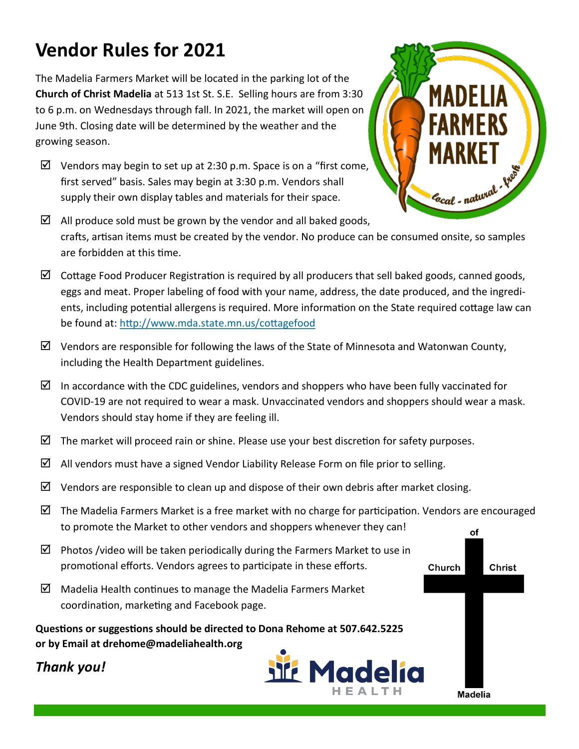## **Vendor Rules for 2021**

The Madelia Farmers Market will be located in the parking lot of the **Church of Christ Madelia** at 513 1st St. S.E. Selling hours are from 3:30 to 6 p.m. on Wednesdays through fall. In 2021, the market will open on June 9th. Closing date will be determined by the weather and the growing season.

- $\boxtimes$  Vendors may begin to set up at 2:30 p.m. Space is on a "first come, first served" basis. Sales may begin at 3:30 p.m. Vendors shall supply their own display tables and materials for their space.
- $\boxtimes$  All produce sold must be grown by the vendor and all baked goods, crafts, artisan items must be created by the vendor. No produce can be consumed onsite, so samples are forbidden at this time.
- $\boxtimes$  Cottage Food Producer Registration is required by all producers that sell baked goods, canned goods, eggs and meat. Proper labeling of food with your name, address, the date produced, and the ingredients, including potential allergens is required. More information on the State required cottage law can be found at: <http://www.mda.state.mn.us/cottagefood>
- $\boxtimes$  Vendors are responsible for following the laws of the State of Minnesota and Watonwan County, including the Health Department guidelines.
- In accordance with the CDC guidelines, vendors and shoppers who have been fully vaccinated for COVID-19 are not required to wear a mask. Unvaccinated vendors and shoppers should wear a mask. Vendors should stay home if they are feeling ill.
- $\boxtimes$  The market will proceed rain or shine. Please use your best discretion for safety purposes.
- $\boxtimes$  All vendors must have a signed Vendor Liability Release Form on file prior to selling.
- $\boxtimes$  Vendors are responsible to clean up and dispose of their own debris after market closing.
- $\boxtimes$  The Madelia Farmers Market is a free market with no charge for participation. Vendors are encouraged to promote the Market to other vendors and shoppers whenever they can! οf
- $\boxtimes$  Photos /video will be taken periodically during the Farmers Market to use in promotional efforts. Vendors agrees to participate in these efforts. Church
- $\boxtimes$  Madelia Health continues to manage the Madelia Farmers Market coordination, marketing and Facebook page.

**Questions or suggestions should be directed to Dona Rehome at 507.642.5225 or by Email at drehome@madeliahealth.org**







**Christ** 

**Madelia**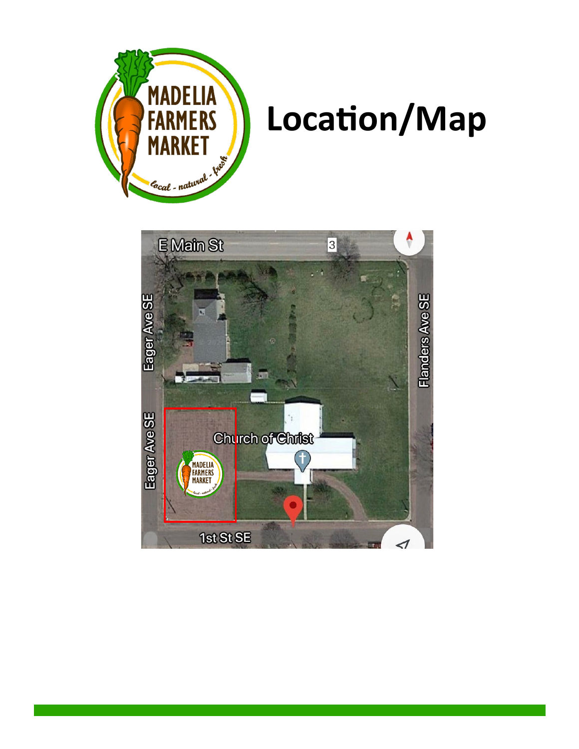

## **Location/Map**